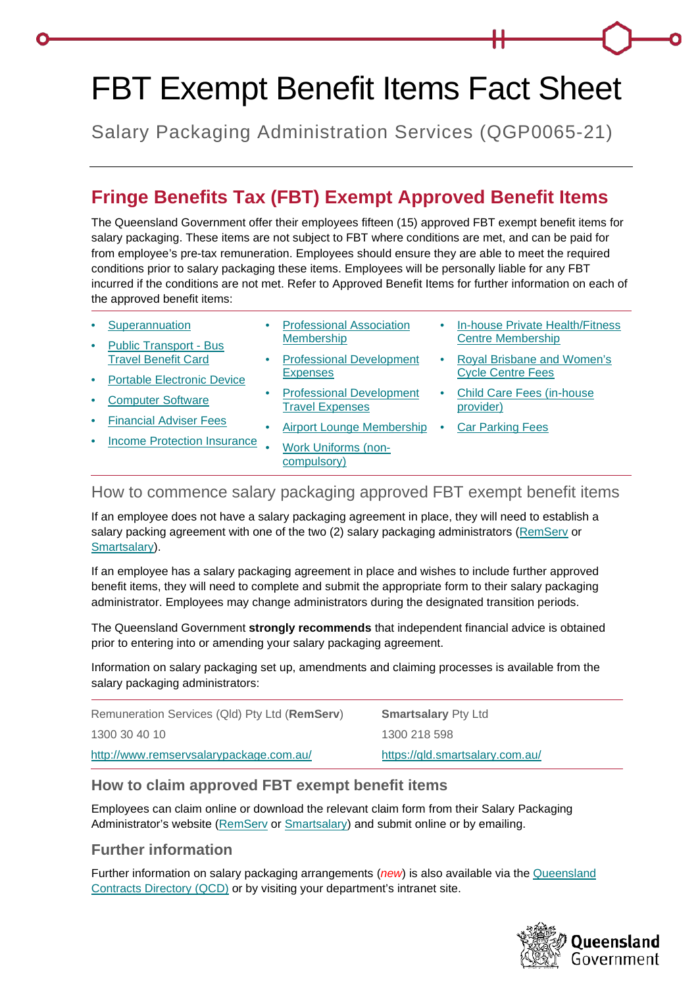# FBT Exempt Benefit Items Fact Sheet

Salary Packaging Administration Services (QGP0065-21)

## **Fringe Benefits Tax (FBT) Exempt Approved Benefit Items**

The Queensland Government offer their employees fifteen (15) approved FBT exempt benefit items for salary packaging. These items are not subject to FBT where conditions are met, and can be paid for from employee's pre-tax remuneration. Employees should ensure they are able to meet the required conditions prior to salary packaging these items. Employees will be personally liable for any FBT incurred if the conditions are not met. Refer to Approved Benefit Items for further information on each of the approved benefit items:

- **[Superannuation](#page-1-0)**
- [Public Transport -](#page-1-1) Bus [Travel Benefit Card](#page-1-1)
- [Professional Association](#page-4-1)  **[Membership](#page-4-1)**
- [Professional Development](#page-4-2)  **[Expenses](#page-4-2)**
- [In-house Private Health/Fitness](#page-7-0)  [Centre Membership](#page-7-0)
- [Portable Electronic Device](#page-1-2)
- [Computer Software](#page-2-0)
- [Financial Adviser Fees](#page-2-1)
- [Income Protection Insurance](#page-4-0)
- [Airport Lounge Membership](#page-6-0)

• [Professional Development](#page-5-0) 

• [Work Uniforms \(non](#page-6-1)[compulsory\)](#page-6-1)

[Travel Expenses](#page-5-0)

- 
- [Royal Brisbane and Women's](#page-7-1)  [Cycle Centre Fees](#page-7-1)
- [Child Care Fees \(in-house](#page-7-2)  [provider\)](#page-7-2)
- **[Car Parking Fees](#page-8-0)**

#### How to commence salary packaging approved FBT exempt benefit items

If an employee does not have a salary packaging agreement in place, they will need to establish a salary packing agreement with one of the two (2) salary packaging administrators [\(RemServ](http://www.remservsalarypackage.com.au/) or [Smartsalary\)](https://qld.smartsalary.com.au/).

If an employee has a salary packaging agreement in place and wishes to include further approved benefit items, they will need to complete and submit the appropriate form to their salary packaging administrator. Employees may change administrators during the designated transition periods.

The Queensland Government **strongly recommends** that independent financial advice is obtained prior to entering into or amending your salary packaging agreement.

Information on salary packaging set up, amendments and claiming processes is available from the salary packaging administrators:

| Remuneration Services (Qld) Pty Ltd (RemServ) | <b>Smartsalary Pty Ltd</b>      |
|-----------------------------------------------|---------------------------------|
| 1300 30 40 10                                 | 1300 218 598                    |
| http://www.remservsalarypackage.com.au/       | https://gld.smartsalary.com.au/ |

#### **How to claim approved FBT exempt benefit items**

Employees can claim online or download the relevant claim form from their Salary Packaging Administrator's website [\(RemServ](http://www.remservsalarypackage.com.au/) or [Smartsalary\)](https://qld.smartsalary.com.au/) and submit online or by emailing.

### **Further information**

Further information on salary packaging arrangements (*new*) is also available via the [Queensland](http://qcd.govnet.qld.gov.au/Pages/Details.aspx?RecID=2189)  [Contracts Directory \(QCD\)](http://qcd.govnet.qld.gov.au/Pages/Details.aspx?RecID=2189) or by visiting your department's intranet site.

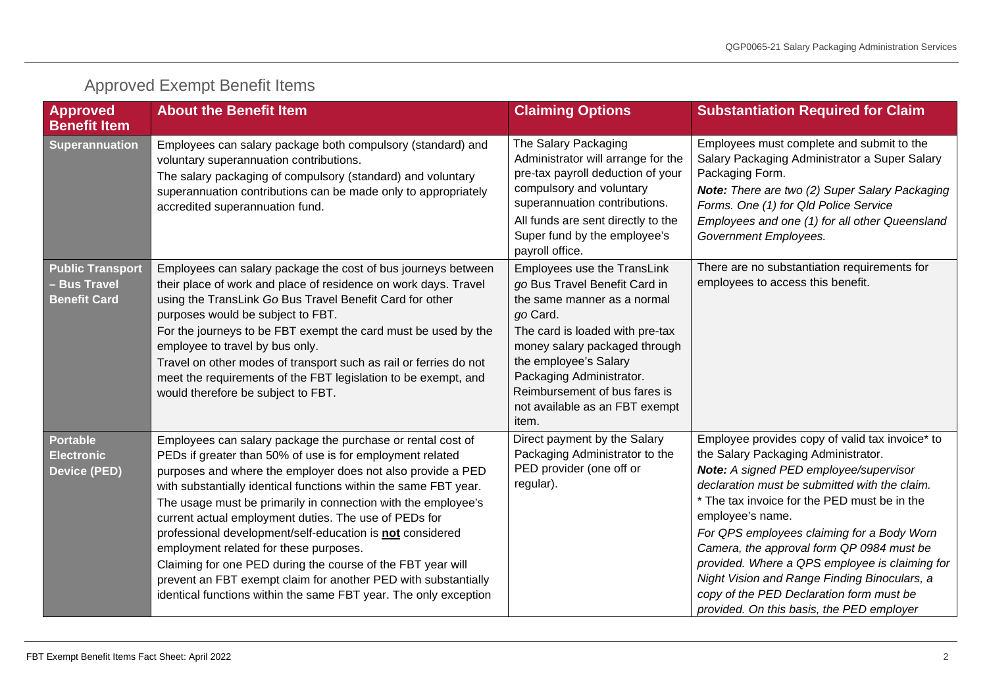<span id="page-1-2"></span><span id="page-1-1"></span><span id="page-1-0"></span>

| <b>Approved</b><br><b>Benefit Item</b>                              | <b>About the Benefit Item</b>                                                                                                                                                                                                                                                                                                                                                                                                                                                                                                                                                                                                                                                                     | <b>Claiming Options</b>                                                                                                                                                                                                                                                                                      | <b>Substantiation Required for Claim</b>                                                                                                                                                                                                                                                                                                                                                                                                                                                                                                    |
|---------------------------------------------------------------------|---------------------------------------------------------------------------------------------------------------------------------------------------------------------------------------------------------------------------------------------------------------------------------------------------------------------------------------------------------------------------------------------------------------------------------------------------------------------------------------------------------------------------------------------------------------------------------------------------------------------------------------------------------------------------------------------------|--------------------------------------------------------------------------------------------------------------------------------------------------------------------------------------------------------------------------------------------------------------------------------------------------------------|---------------------------------------------------------------------------------------------------------------------------------------------------------------------------------------------------------------------------------------------------------------------------------------------------------------------------------------------------------------------------------------------------------------------------------------------------------------------------------------------------------------------------------------------|
| Superannuation                                                      | Employees can salary package both compulsory (standard) and<br>voluntary superannuation contributions.<br>The salary packaging of compulsory (standard) and voluntary<br>superannuation contributions can be made only to appropriately<br>accredited superannuation fund.                                                                                                                                                                                                                                                                                                                                                                                                                        | The Salary Packaging<br>Administrator will arrange for the<br>pre-tax payroll deduction of your<br>compulsory and voluntary<br>superannuation contributions.<br>All funds are sent directly to the<br>Super fund by the employee's<br>payroll office.                                                        | Employees must complete and submit to the<br>Salary Packaging Administrator a Super Salary<br>Packaging Form.<br>Note: There are two (2) Super Salary Packaging<br>Forms. One (1) for Qld Police Service<br>Employees and one (1) for all other Queensland<br>Government Employees.                                                                                                                                                                                                                                                         |
| <b>Public Transport</b><br><b>Bus Travel</b><br><b>Benefit Card</b> | Employees can salary package the cost of bus journeys between<br>their place of work and place of residence on work days. Travel<br>using the TransLink Go Bus Travel Benefit Card for other<br>purposes would be subject to FBT.<br>For the journeys to be FBT exempt the card must be used by the<br>employee to travel by bus only.<br>Travel on other modes of transport such as rail or ferries do not<br>meet the requirements of the FBT legislation to be exempt, and<br>would therefore be subject to FBT.                                                                                                                                                                               | Employees use the TransLink<br>go Bus Travel Benefit Card in<br>the same manner as a normal<br>go Card.<br>The card is loaded with pre-tax<br>money salary packaged through<br>the employee's Salary<br>Packaging Administrator.<br>Reimbursement of bus fares is<br>not available as an FBT exempt<br>item. | There are no substantiation requirements for<br>employees to access this benefit.                                                                                                                                                                                                                                                                                                                                                                                                                                                           |
| <b>Portable</b><br><b>Electronic</b><br><b>Device (PED)</b>         | Employees can salary package the purchase or rental cost of<br>PEDs if greater than 50% of use is for employment related<br>purposes and where the employer does not also provide a PED<br>with substantially identical functions within the same FBT year.<br>The usage must be primarily in connection with the employee's<br>current actual employment duties. The use of PEDs for<br>professional development/self-education is not considered<br>employment related for these purposes.<br>Claiming for one PED during the course of the FBT year will<br>prevent an FBT exempt claim for another PED with substantially<br>identical functions within the same FBT year. The only exception | Direct payment by the Salary<br>Packaging Administrator to the<br>PED provider (one off or<br>regular).                                                                                                                                                                                                      | Employee provides copy of valid tax invoice* to<br>the Salary Packaging Administrator.<br>Note: A signed PED employee/supervisor<br>declaration must be submitted with the claim.<br>* The tax invoice for the PED must be in the<br>employee's name.<br>For QPS employees claiming for a Body Worn<br>Camera, the approval form QP 0984 must be<br>provided. Where a QPS employee is claiming for<br>Night Vision and Range Finding Binoculars, a<br>copy of the PED Declaration form must be<br>provided. On this basis, the PED employer |

## Approved Exempt Benefit Items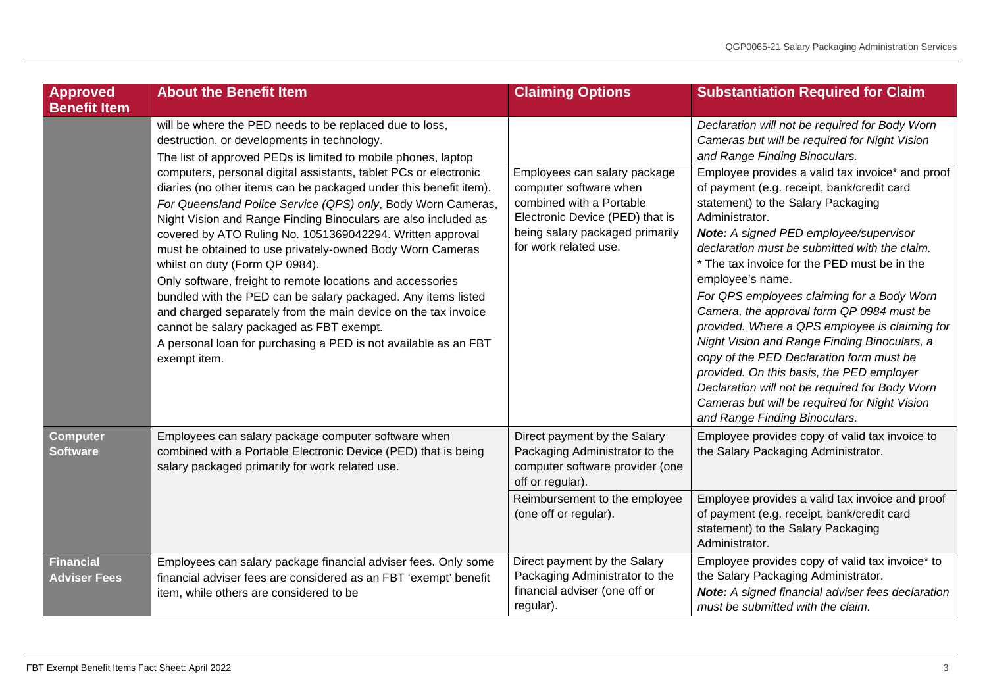<span id="page-2-1"></span><span id="page-2-0"></span>

| <b>Approved</b><br><b>Benefit Item</b>  | <b>About the Benefit Item</b>                                                                                                                                                                                                                                                                                                                                                                                                                                                                                                                                                                                                                                                                                                                                                                                                                                                                                                                  | <b>Claiming Options</b>                                                                                                                                                           | <b>Substantiation Required for Claim</b>                                                                                                                                                                                                                                                                                                                                                                                                                                                                                                                                                                                                                                                                                                        |
|-----------------------------------------|------------------------------------------------------------------------------------------------------------------------------------------------------------------------------------------------------------------------------------------------------------------------------------------------------------------------------------------------------------------------------------------------------------------------------------------------------------------------------------------------------------------------------------------------------------------------------------------------------------------------------------------------------------------------------------------------------------------------------------------------------------------------------------------------------------------------------------------------------------------------------------------------------------------------------------------------|-----------------------------------------------------------------------------------------------------------------------------------------------------------------------------------|-------------------------------------------------------------------------------------------------------------------------------------------------------------------------------------------------------------------------------------------------------------------------------------------------------------------------------------------------------------------------------------------------------------------------------------------------------------------------------------------------------------------------------------------------------------------------------------------------------------------------------------------------------------------------------------------------------------------------------------------------|
|                                         | will be where the PED needs to be replaced due to loss,<br>destruction, or developments in technology.<br>The list of approved PEDs is limited to mobile phones, laptop<br>computers, personal digital assistants, tablet PCs or electronic<br>diaries (no other items can be packaged under this benefit item).<br>For Queensland Police Service (QPS) only, Body Worn Cameras,<br>Night Vision and Range Finding Binoculars are also included as<br>covered by ATO Ruling No. 1051369042294. Written approval<br>must be obtained to use privately-owned Body Worn Cameras<br>whilst on duty (Form QP 0984).<br>Only software, freight to remote locations and accessories<br>bundled with the PED can be salary packaged. Any items listed<br>and charged separately from the main device on the tax invoice<br>cannot be salary packaged as FBT exempt.<br>A personal loan for purchasing a PED is not available as an FBT<br>exempt item. |                                                                                                                                                                                   | Declaration will not be required for Body Worn<br>Cameras but will be required for Night Vision<br>and Range Finding Binoculars.                                                                                                                                                                                                                                                                                                                                                                                                                                                                                                                                                                                                                |
|                                         |                                                                                                                                                                                                                                                                                                                                                                                                                                                                                                                                                                                                                                                                                                                                                                                                                                                                                                                                                | Employees can salary package<br>computer software when<br>combined with a Portable<br>Electronic Device (PED) that is<br>being salary packaged primarily<br>for work related use. | Employee provides a valid tax invoice* and proof<br>of payment (e.g. receipt, bank/credit card<br>statement) to the Salary Packaging<br>Administrator.<br>Note: A signed PED employee/supervisor<br>declaration must be submitted with the claim.<br>* The tax invoice for the PED must be in the<br>employee's name.<br>For QPS employees claiming for a Body Worn<br>Camera, the approval form QP 0984 must be<br>provided. Where a QPS employee is claiming for<br>Night Vision and Range Finding Binoculars, a<br>copy of the PED Declaration form must be<br>provided. On this basis, the PED employer<br>Declaration will not be required for Body Worn<br>Cameras but will be required for Night Vision<br>and Range Finding Binoculars. |
| <b>Computer</b><br><b>Software</b>      | Employees can salary package computer software when<br>combined with a Portable Electronic Device (PED) that is being<br>salary packaged primarily for work related use.                                                                                                                                                                                                                                                                                                                                                                                                                                                                                                                                                                                                                                                                                                                                                                       | Direct payment by the Salary<br>Packaging Administrator to the<br>computer software provider (one<br>off or regular).                                                             | Employee provides copy of valid tax invoice to<br>the Salary Packaging Administrator.                                                                                                                                                                                                                                                                                                                                                                                                                                                                                                                                                                                                                                                           |
|                                         |                                                                                                                                                                                                                                                                                                                                                                                                                                                                                                                                                                                                                                                                                                                                                                                                                                                                                                                                                | Reimbursement to the employee<br>(one off or regular).                                                                                                                            | Employee provides a valid tax invoice and proof<br>of payment (e.g. receipt, bank/credit card<br>statement) to the Salary Packaging<br>Administrator.                                                                                                                                                                                                                                                                                                                                                                                                                                                                                                                                                                                           |
| <b>Financial</b><br><b>Adviser Fees</b> | Employees can salary package financial adviser fees. Only some<br>financial adviser fees are considered as an FBT 'exempt' benefit<br>item, while others are considered to be                                                                                                                                                                                                                                                                                                                                                                                                                                                                                                                                                                                                                                                                                                                                                                  | Direct payment by the Salary<br>Packaging Administrator to the<br>financial adviser (one off or<br>regular).                                                                      | Employee provides copy of valid tax invoice* to<br>the Salary Packaging Administrator.<br>Note: A signed financial adviser fees declaration<br>must be submitted with the claim.                                                                                                                                                                                                                                                                                                                                                                                                                                                                                                                                                                |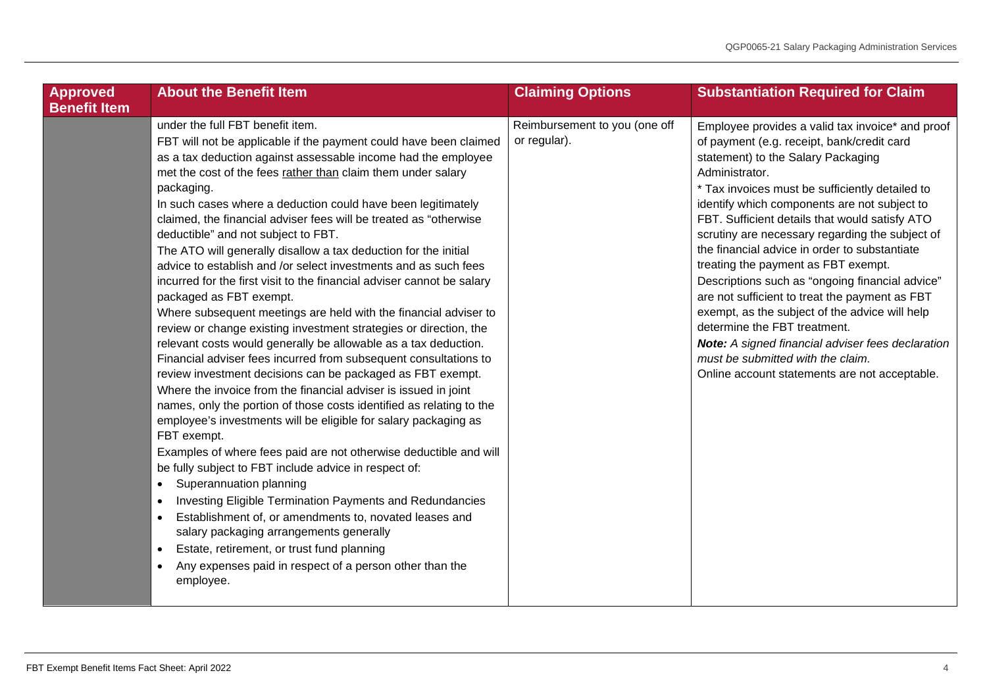| <b>Approved</b><br><b>Benefit Item</b> | <b>About the Benefit Item</b>                                                                                                                                                                                                                                                                                                                                                                                                                                                                                                                                                                                                                                                                                                                                                                                                                                                                                                                                                                                                                                                                                                                                                                                                                                                                                                                                                                                                                                                                                                                                                                                                                                                                                                                              | <b>Claiming Options</b>                       | <b>Substantiation Required for Claim</b>                                                                                                                                                                                                                                                                                                                                                                                                                                                                                                                                                                                                                                                                                                                                                 |
|----------------------------------------|------------------------------------------------------------------------------------------------------------------------------------------------------------------------------------------------------------------------------------------------------------------------------------------------------------------------------------------------------------------------------------------------------------------------------------------------------------------------------------------------------------------------------------------------------------------------------------------------------------------------------------------------------------------------------------------------------------------------------------------------------------------------------------------------------------------------------------------------------------------------------------------------------------------------------------------------------------------------------------------------------------------------------------------------------------------------------------------------------------------------------------------------------------------------------------------------------------------------------------------------------------------------------------------------------------------------------------------------------------------------------------------------------------------------------------------------------------------------------------------------------------------------------------------------------------------------------------------------------------------------------------------------------------------------------------------------------------------------------------------------------------|-----------------------------------------------|------------------------------------------------------------------------------------------------------------------------------------------------------------------------------------------------------------------------------------------------------------------------------------------------------------------------------------------------------------------------------------------------------------------------------------------------------------------------------------------------------------------------------------------------------------------------------------------------------------------------------------------------------------------------------------------------------------------------------------------------------------------------------------------|
|                                        | under the full FBT benefit item.<br>FBT will not be applicable if the payment could have been claimed<br>as a tax deduction against assessable income had the employee<br>met the cost of the fees rather than claim them under salary<br>packaging.<br>In such cases where a deduction could have been legitimately<br>claimed, the financial adviser fees will be treated as "otherwise<br>deductible" and not subject to FBT.<br>The ATO will generally disallow a tax deduction for the initial<br>advice to establish and /or select investments and as such fees<br>incurred for the first visit to the financial adviser cannot be salary<br>packaged as FBT exempt.<br>Where subsequent meetings are held with the financial adviser to<br>review or change existing investment strategies or direction, the<br>relevant costs would generally be allowable as a tax deduction.<br>Financial adviser fees incurred from subsequent consultations to<br>review investment decisions can be packaged as FBT exempt.<br>Where the invoice from the financial adviser is issued in joint<br>names, only the portion of those costs identified as relating to the<br>employee's investments will be eligible for salary packaging as<br>FBT exempt.<br>Examples of where fees paid are not otherwise deductible and will<br>be fully subject to FBT include advice in respect of:<br>Superannuation planning<br>$\bullet$<br>Investing Eligible Termination Payments and Redundancies<br>$\bullet$<br>Establishment of, or amendments to, novated leases and<br>$\bullet$<br>salary packaging arrangements generally<br>Estate, retirement, or trust fund planning<br>$\bullet$<br>Any expenses paid in respect of a person other than the<br>employee. | Reimbursement to you (one off<br>or regular). | Employee provides a valid tax invoice* and proof<br>of payment (e.g. receipt, bank/credit card<br>statement) to the Salary Packaging<br>Administrator.<br>* Tax invoices must be sufficiently detailed to<br>identify which components are not subject to<br>FBT. Sufficient details that would satisfy ATO<br>scrutiny are necessary regarding the subject of<br>the financial advice in order to substantiate<br>treating the payment as FBT exempt.<br>Descriptions such as "ongoing financial advice"<br>are not sufficient to treat the payment as FBT<br>exempt, as the subject of the advice will help<br>determine the FBT treatment.<br>Note: A signed financial adviser fees declaration<br>must be submitted with the claim.<br>Online account statements are not acceptable. |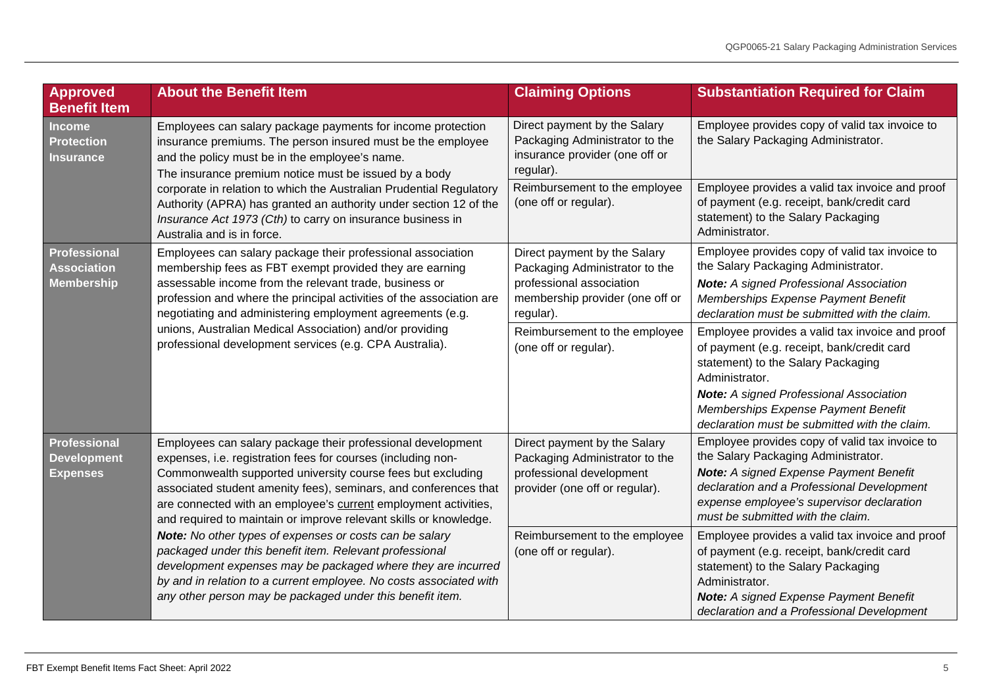<span id="page-4-2"></span><span id="page-4-1"></span><span id="page-4-0"></span>

| Approved<br><b>Benefit Item</b>                                                                                                                                                                                                                                                                                                                                                                                                                                                                                | <b>About the Benefit Item</b>                                                                                                                                                                                                                                                                                                                                                                                                                                                                                                                                                                                                                                                                                                   | <b>Claiming Options</b>                                                                                                                                                                                                         | <b>Substantiation Required for Claim</b>                                                                                                                                                                                                                               |
|----------------------------------------------------------------------------------------------------------------------------------------------------------------------------------------------------------------------------------------------------------------------------------------------------------------------------------------------------------------------------------------------------------------------------------------------------------------------------------------------------------------|---------------------------------------------------------------------------------------------------------------------------------------------------------------------------------------------------------------------------------------------------------------------------------------------------------------------------------------------------------------------------------------------------------------------------------------------------------------------------------------------------------------------------------------------------------------------------------------------------------------------------------------------------------------------------------------------------------------------------------|---------------------------------------------------------------------------------------------------------------------------------------------------------------------------------------------------------------------------------|------------------------------------------------------------------------------------------------------------------------------------------------------------------------------------------------------------------------------------------------------------------------|
| <b>Income</b><br><b>Protection</b><br>Insurance                                                                                                                                                                                                                                                                                                                                                                                                                                                                | Employees can salary package payments for income protection<br>insurance premiums. The person insured must be the employee<br>and the policy must be in the employee's name.<br>The insurance premium notice must be issued by a body<br>corporate in relation to which the Australian Prudential Regulatory<br>Authority (APRA) has granted an authority under section 12 of the<br>Insurance Act 1973 (Cth) to carry on insurance business in<br>Australia and is in force.                                                                                                                                                                                                                                                   | Direct payment by the Salary<br>Packaging Administrator to the<br>insurance provider (one off or<br>regular).                                                                                                                   | Employee provides copy of valid tax invoice to<br>the Salary Packaging Administrator.                                                                                                                                                                                  |
|                                                                                                                                                                                                                                                                                                                                                                                                                                                                                                                |                                                                                                                                                                                                                                                                                                                                                                                                                                                                                                                                                                                                                                                                                                                                 | Reimbursement to the employee<br>(one off or regular).                                                                                                                                                                          | Employee provides a valid tax invoice and proof<br>of payment (e.g. receipt, bank/credit card<br>statement) to the Salary Packaging<br>Administrator.                                                                                                                  |
| Employees can salary package their professional association<br><b>Professional</b><br><b>Association</b><br>membership fees as FBT exempt provided they are earning<br>assessable income from the relevant trade, business or<br><b>Membership</b><br>profession and where the principal activities of the association are<br>negotiating and administering employment agreements (e.g.<br>unions, Australian Medical Association) and/or providing<br>professional development services (e.g. CPA Australia). | Direct payment by the Salary<br>Packaging Administrator to the<br>professional association<br>membership provider (one off or<br>regular).                                                                                                                                                                                                                                                                                                                                                                                                                                                                                                                                                                                      | Employee provides copy of valid tax invoice to<br>the Salary Packaging Administrator.<br><b>Note:</b> A signed Professional Association<br>Memberships Expense Payment Benefit<br>declaration must be submitted with the claim. |                                                                                                                                                                                                                                                                        |
|                                                                                                                                                                                                                                                                                                                                                                                                                                                                                                                |                                                                                                                                                                                                                                                                                                                                                                                                                                                                                                                                                                                                                                                                                                                                 | Reimbursement to the employee<br>(one off or regular).                                                                                                                                                                          | Employee provides a valid tax invoice and proof<br>of payment (e.g. receipt, bank/credit card<br>statement) to the Salary Packaging<br>Administrator.                                                                                                                  |
|                                                                                                                                                                                                                                                                                                                                                                                                                                                                                                                |                                                                                                                                                                                                                                                                                                                                                                                                                                                                                                                                                                                                                                                                                                                                 |                                                                                                                                                                                                                                 | <b>Note:</b> A signed Professional Association<br>Memberships Expense Payment Benefit<br>declaration must be submitted with the claim.                                                                                                                                 |
| <b>Professional</b><br><b>Development</b><br><b>Expenses</b>                                                                                                                                                                                                                                                                                                                                                                                                                                                   | Employees can salary package their professional development<br>expenses, i.e. registration fees for courses (including non-<br>Commonwealth supported university course fees but excluding<br>associated student amenity fees), seminars, and conferences that<br>are connected with an employee's current employment activities,<br>and required to maintain or improve relevant skills or knowledge.<br>Note: No other types of expenses or costs can be salary<br>packaged under this benefit item. Relevant professional<br>development expenses may be packaged where they are incurred<br>by and in relation to a current employee. No costs associated with<br>any other person may be packaged under this benefit item. | Direct payment by the Salary<br>Packaging Administrator to the<br>professional development<br>provider (one off or regular).                                                                                                    | Employee provides copy of valid tax invoice to<br>the Salary Packaging Administrator.<br><b>Note:</b> A signed Expense Payment Benefit<br>declaration and a Professional Development<br>expense employee's supervisor declaration<br>must be submitted with the claim. |
|                                                                                                                                                                                                                                                                                                                                                                                                                                                                                                                |                                                                                                                                                                                                                                                                                                                                                                                                                                                                                                                                                                                                                                                                                                                                 | Reimbursement to the employee<br>(one off or regular).                                                                                                                                                                          | Employee provides a valid tax invoice and proof<br>of payment (e.g. receipt, bank/credit card<br>statement) to the Salary Packaging<br>Administrator.<br>Note: A signed Expense Payment Benefit<br>declaration and a Professional Development                          |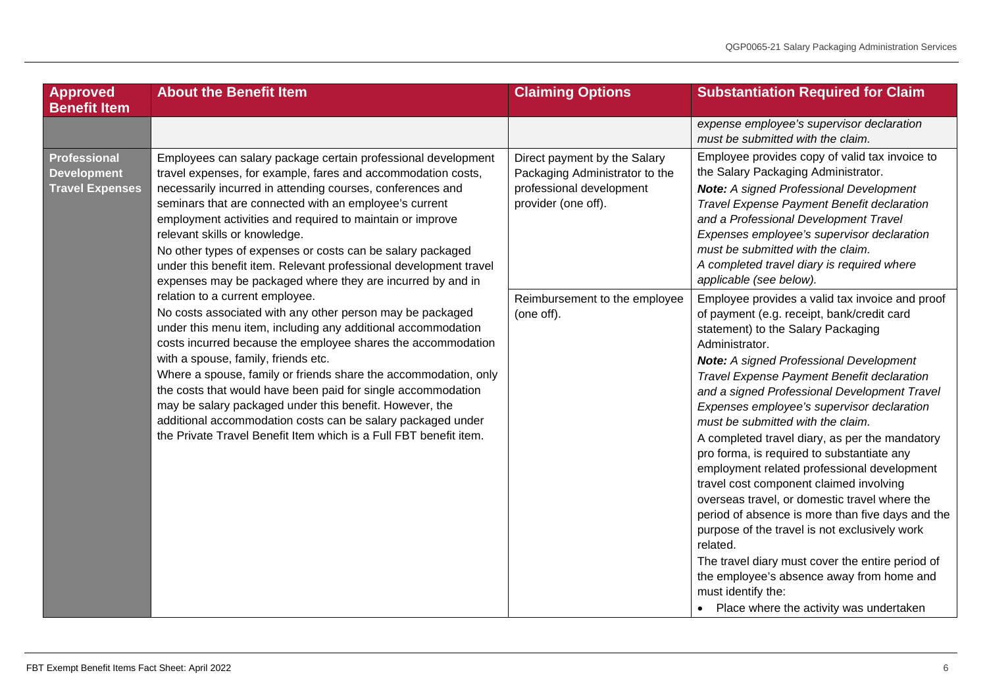<span id="page-5-0"></span>

| Approved<br><b>Benefit Item</b>                                     | <b>About the Benefit Item</b>                                                                                                                                                                                                                                                                                                                                                                                                                                                                                                                                                                         | <b>Claiming Options</b>                                                                                           | <b>Substantiation Required for Claim</b>                                                                                                                                                                                                                                                                                                                                                                                                                                                                                                                                                                                                                                                                                                                                                                                                                                                                                 |
|---------------------------------------------------------------------|-------------------------------------------------------------------------------------------------------------------------------------------------------------------------------------------------------------------------------------------------------------------------------------------------------------------------------------------------------------------------------------------------------------------------------------------------------------------------------------------------------------------------------------------------------------------------------------------------------|-------------------------------------------------------------------------------------------------------------------|--------------------------------------------------------------------------------------------------------------------------------------------------------------------------------------------------------------------------------------------------------------------------------------------------------------------------------------------------------------------------------------------------------------------------------------------------------------------------------------------------------------------------------------------------------------------------------------------------------------------------------------------------------------------------------------------------------------------------------------------------------------------------------------------------------------------------------------------------------------------------------------------------------------------------|
|                                                                     |                                                                                                                                                                                                                                                                                                                                                                                                                                                                                                                                                                                                       |                                                                                                                   | expense employee's supervisor declaration<br>must be submitted with the claim.                                                                                                                                                                                                                                                                                                                                                                                                                                                                                                                                                                                                                                                                                                                                                                                                                                           |
| <b>Professional</b><br><b>Development</b><br><b>Travel Expenses</b> | Employees can salary package certain professional development<br>travel expenses, for example, fares and accommodation costs,<br>necessarily incurred in attending courses, conferences and<br>seminars that are connected with an employee's current<br>employment activities and required to maintain or improve<br>relevant skills or knowledge.<br>No other types of expenses or costs can be salary packaged<br>under this benefit item. Relevant professional development travel<br>expenses may be packaged where they are incurred by and in                                                  | Direct payment by the Salary<br>Packaging Administrator to the<br>professional development<br>provider (one off). | Employee provides copy of valid tax invoice to<br>the Salary Packaging Administrator.<br><b>Note:</b> A signed Professional Development<br>Travel Expense Payment Benefit declaration<br>and a Professional Development Travel<br>Expenses employee's supervisor declaration<br>must be submitted with the claim.<br>A completed travel diary is required where<br>applicable (see below).                                                                                                                                                                                                                                                                                                                                                                                                                                                                                                                               |
|                                                                     | relation to a current employee.<br>No costs associated with any other person may be packaged<br>under this menu item, including any additional accommodation<br>costs incurred because the employee shares the accommodation<br>with a spouse, family, friends etc.<br>Where a spouse, family or friends share the accommodation, only<br>the costs that would have been paid for single accommodation<br>may be salary packaged under this benefit. However, the<br>additional accommodation costs can be salary packaged under<br>the Private Travel Benefit Item which is a Full FBT benefit item. | Reimbursement to the employee<br>(one off).                                                                       | Employee provides a valid tax invoice and proof<br>of payment (e.g. receipt, bank/credit card<br>statement) to the Salary Packaging<br>Administrator.<br><b>Note:</b> A signed Professional Development<br>Travel Expense Payment Benefit declaration<br>and a signed Professional Development Travel<br>Expenses employee's supervisor declaration<br>must be submitted with the claim.<br>A completed travel diary, as per the mandatory<br>pro forma, is required to substantiate any<br>employment related professional development<br>travel cost component claimed involving<br>overseas travel, or domestic travel where the<br>period of absence is more than five days and the<br>purpose of the travel is not exclusively work<br>related.<br>The travel diary must cover the entire period of<br>the employee's absence away from home and<br>must identify the:<br>• Place where the activity was undertaken |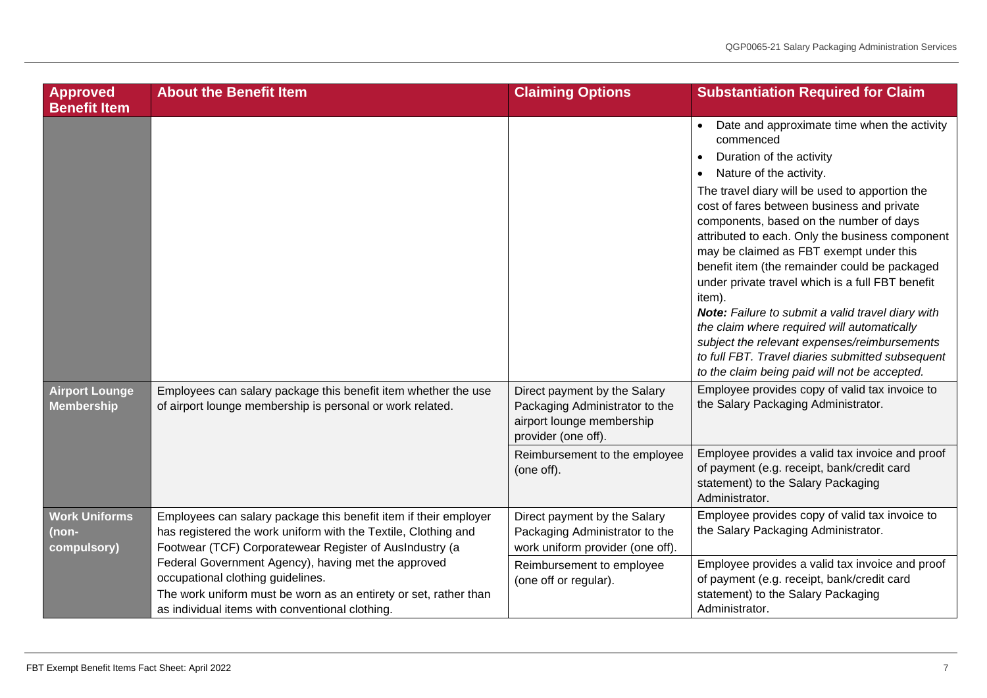<span id="page-6-1"></span><span id="page-6-0"></span>

| <b>Approved</b><br><b>Benefit Item</b>     | <b>About the Benefit Item</b>                                                                                                                                                                                   | <b>Claiming Options</b>                                                                                                                                           | <b>Substantiation Required for Claim</b>                                                                                                                                                                                                                                                                                                                                                                                                                                                                                                                                                                                                                                                                                                      |
|--------------------------------------------|-----------------------------------------------------------------------------------------------------------------------------------------------------------------------------------------------------------------|-------------------------------------------------------------------------------------------------------------------------------------------------------------------|-----------------------------------------------------------------------------------------------------------------------------------------------------------------------------------------------------------------------------------------------------------------------------------------------------------------------------------------------------------------------------------------------------------------------------------------------------------------------------------------------------------------------------------------------------------------------------------------------------------------------------------------------------------------------------------------------------------------------------------------------|
|                                            |                                                                                                                                                                                                                 |                                                                                                                                                                   | Date and approximate time when the activity<br>commenced<br>Duration of the activity<br>$\bullet$<br>Nature of the activity.<br>The travel diary will be used to apportion the<br>cost of fares between business and private<br>components, based on the number of days<br>attributed to each. Only the business component<br>may be claimed as FBT exempt under this<br>benefit item (the remainder could be packaged<br>under private travel which is a full FBT benefit<br>item).<br>Note: Failure to submit a valid travel diary with<br>the claim where required will automatically<br>subject the relevant expenses/reimbursements<br>to full FBT. Travel diaries submitted subsequent<br>to the claim being paid will not be accepted. |
| <b>Airport Lounge</b><br><b>Membership</b> | Employees can salary package this benefit item whether the use<br>of airport lounge membership is personal or work related.                                                                                     | Direct payment by the Salary<br>Packaging Administrator to the<br>airport lounge membership<br>provider (one off).<br>Reimbursement to the employee<br>(one off). | Employee provides copy of valid tax invoice to<br>the Salary Packaging Administrator.<br>Employee provides a valid tax invoice and proof<br>of payment (e.g. receipt, bank/credit card<br>statement) to the Salary Packaging                                                                                                                                                                                                                                                                                                                                                                                                                                                                                                                  |
| <b>Work Uniforms</b>                       | Employees can salary package this benefit item if their employer                                                                                                                                                | Direct payment by the Salary                                                                                                                                      | Administrator.<br>Employee provides copy of valid tax invoice to                                                                                                                                                                                                                                                                                                                                                                                                                                                                                                                                                                                                                                                                              |
| (non-<br>compulsory)                       | has registered the work uniform with the Textile, Clothing and<br>Footwear (TCF) Corporatewear Register of AusIndustry (a                                                                                       | Packaging Administrator to the<br>work uniform provider (one off).                                                                                                | the Salary Packaging Administrator.                                                                                                                                                                                                                                                                                                                                                                                                                                                                                                                                                                                                                                                                                                           |
|                                            | Federal Government Agency), having met the approved<br>occupational clothing guidelines.<br>The work uniform must be worn as an entirety or set, rather than<br>as individual items with conventional clothing. | Reimbursement to employee<br>(one off or regular).                                                                                                                | Employee provides a valid tax invoice and proof<br>of payment (e.g. receipt, bank/credit card<br>statement) to the Salary Packaging<br>Administrator.                                                                                                                                                                                                                                                                                                                                                                                                                                                                                                                                                                                         |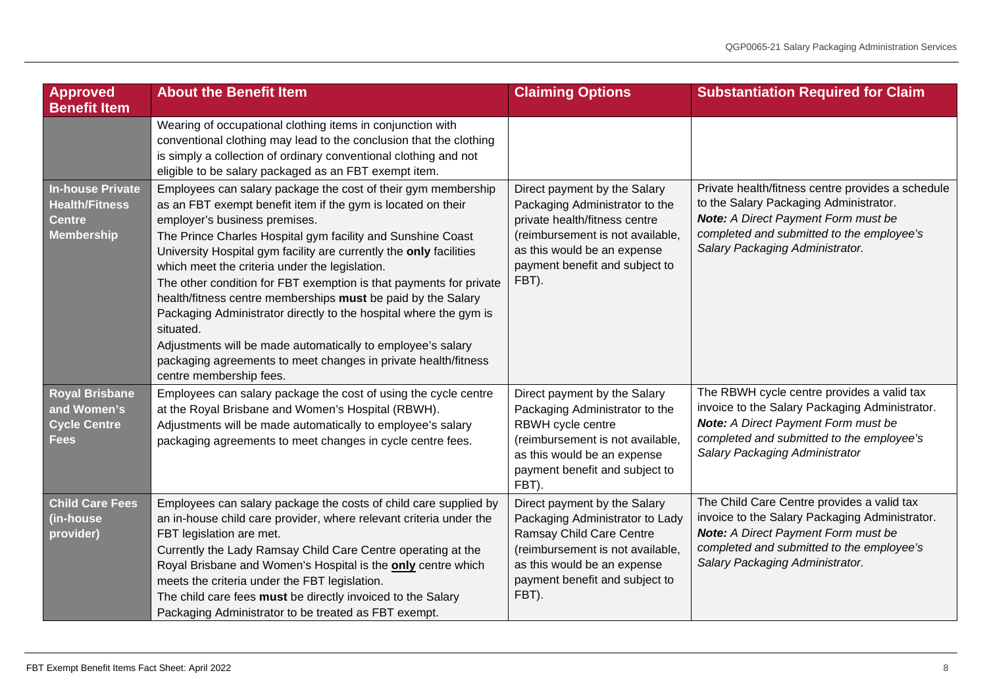<span id="page-7-2"></span><span id="page-7-1"></span><span id="page-7-0"></span>

| <b>Approved</b><br><b>Benefit Item</b>                                                 | <b>About the Benefit Item</b>                                                                                                                                                                                                                                                                                                                                                                                                                                                                                                                                                                                                                                                                                                             | <b>Claiming Options</b>                                                                                                                                                                                       | <b>Substantiation Required for Claim</b>                                                                                                                                                                                   |
|----------------------------------------------------------------------------------------|-------------------------------------------------------------------------------------------------------------------------------------------------------------------------------------------------------------------------------------------------------------------------------------------------------------------------------------------------------------------------------------------------------------------------------------------------------------------------------------------------------------------------------------------------------------------------------------------------------------------------------------------------------------------------------------------------------------------------------------------|---------------------------------------------------------------------------------------------------------------------------------------------------------------------------------------------------------------|----------------------------------------------------------------------------------------------------------------------------------------------------------------------------------------------------------------------------|
|                                                                                        | Wearing of occupational clothing items in conjunction with<br>conventional clothing may lead to the conclusion that the clothing<br>is simply a collection of ordinary conventional clothing and not<br>eligible to be salary packaged as an FBT exempt item.                                                                                                                                                                                                                                                                                                                                                                                                                                                                             |                                                                                                                                                                                                               |                                                                                                                                                                                                                            |
| <b>In-house Private</b><br><b>Health/Fitness</b><br><b>Centre</b><br><b>Membership</b> | Employees can salary package the cost of their gym membership<br>as an FBT exempt benefit item if the gym is located on their<br>employer's business premises.<br>The Prince Charles Hospital gym facility and Sunshine Coast<br>University Hospital gym facility are currently the only facilities<br>which meet the criteria under the legislation.<br>The other condition for FBT exemption is that payments for private<br>health/fitness centre memberships must be paid by the Salary<br>Packaging Administrator directly to the hospital where the gym is<br>situated.<br>Adjustments will be made automatically to employee's salary<br>packaging agreements to meet changes in private health/fitness<br>centre membership fees. | Direct payment by the Salary<br>Packaging Administrator to the<br>private health/fitness centre<br>(reimbursement is not available,<br>as this would be an expense<br>payment benefit and subject to<br>FBT). | Private health/fitness centre provides a schedule<br>to the Salary Packaging Administrator.<br><b>Note:</b> A Direct Payment Form must be<br>completed and submitted to the employee's<br>Salary Packaging Administrator.  |
| <b>Royal Brisbane</b><br>and Women's<br><b>Cycle Centre</b><br><b>Fees</b>             | Employees can salary package the cost of using the cycle centre<br>at the Royal Brisbane and Women's Hospital (RBWH).<br>Adjustments will be made automatically to employee's salary<br>packaging agreements to meet changes in cycle centre fees.                                                                                                                                                                                                                                                                                                                                                                                                                                                                                        | Direct payment by the Salary<br>Packaging Administrator to the<br>RBWH cycle centre<br>(reimbursement is not available,<br>as this would be an expense<br>payment benefit and subject to<br>FBT).             | The RBWH cycle centre provides a valid tax<br>invoice to the Salary Packaging Administrator.<br><b>Note:</b> A Direct Payment Form must be<br>completed and submitted to the employee's<br>Salary Packaging Administrator  |
| <b>Child Care Fees</b><br>(in-house<br>provider)                                       | Employees can salary package the costs of child care supplied by<br>an in-house child care provider, where relevant criteria under the<br>FBT legislation are met.<br>Currently the Lady Ramsay Child Care Centre operating at the<br>Royal Brisbane and Women's Hospital is the only centre which<br>meets the criteria under the FBT legislation.<br>The child care fees must be directly invoiced to the Salary<br>Packaging Administrator to be treated as FBT exempt.                                                                                                                                                                                                                                                                | Direct payment by the Salary<br>Packaging Administrator to Lady<br>Ramsay Child Care Centre<br>(reimbursement is not available,<br>as this would be an expense<br>payment benefit and subject to<br>FBT).     | The Child Care Centre provides a valid tax<br>invoice to the Salary Packaging Administrator.<br><b>Note:</b> A Direct Payment Form must be<br>completed and submitted to the employee's<br>Salary Packaging Administrator. |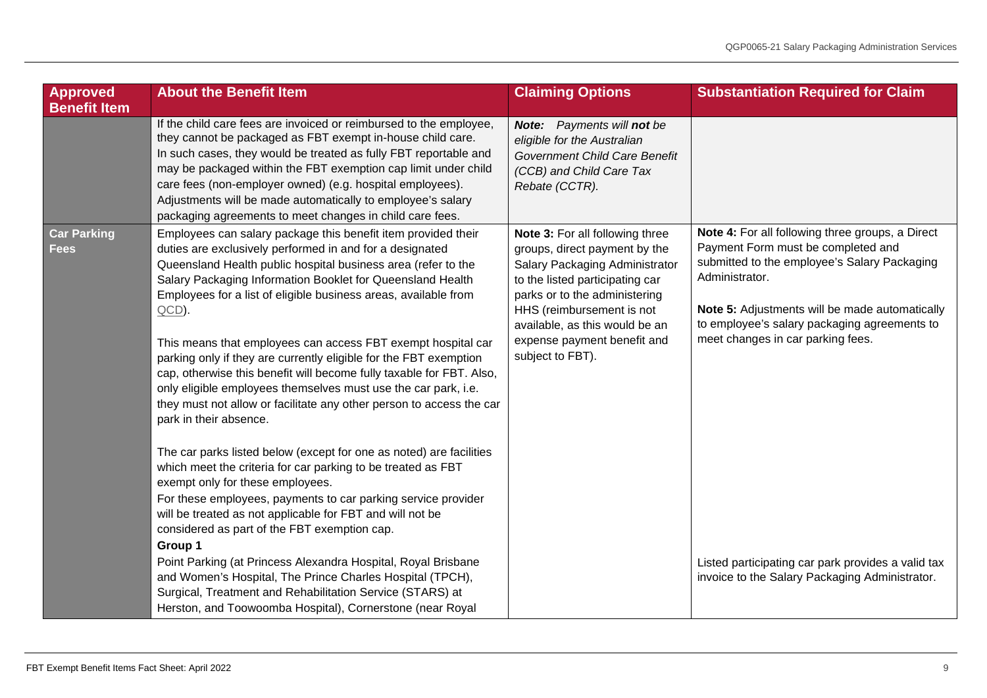<span id="page-8-0"></span>

| Approved<br><b>Benefit Item</b>                                                    | <b>About the Benefit Item</b>                                                                                                                                                                                                                                                                                                                                                                                                                                                                                                                                                                                                                                                                                                                                                                                                                                                                                                                                                                                                                                                                                                                                                                                                          | <b>Claiming Options</b>                                                                                                                                                                                                                                                                  | <b>Substantiation Required for Claim</b>                                                                                                                                                                                                                                                                                                                                                                |
|------------------------------------------------------------------------------------|----------------------------------------------------------------------------------------------------------------------------------------------------------------------------------------------------------------------------------------------------------------------------------------------------------------------------------------------------------------------------------------------------------------------------------------------------------------------------------------------------------------------------------------------------------------------------------------------------------------------------------------------------------------------------------------------------------------------------------------------------------------------------------------------------------------------------------------------------------------------------------------------------------------------------------------------------------------------------------------------------------------------------------------------------------------------------------------------------------------------------------------------------------------------------------------------------------------------------------------|------------------------------------------------------------------------------------------------------------------------------------------------------------------------------------------------------------------------------------------------------------------------------------------|---------------------------------------------------------------------------------------------------------------------------------------------------------------------------------------------------------------------------------------------------------------------------------------------------------------------------------------------------------------------------------------------------------|
|                                                                                    | If the child care fees are invoiced or reimbursed to the employee,<br>they cannot be packaged as FBT exempt in-house child care.<br>In such cases, they would be treated as fully FBT reportable and<br>may be packaged within the FBT exemption cap limit under child<br>care fees (non-employer owned) (e.g. hospital employees).<br>Adjustments will be made automatically to employee's salary<br>packaging agreements to meet changes in child care fees.                                                                                                                                                                                                                                                                                                                                                                                                                                                                                                                                                                                                                                                                                                                                                                         | Note: Payments will not be<br>eligible for the Australian<br>Government Child Care Benefit<br>(CCB) and Child Care Tax<br>Rebate (CCTR).                                                                                                                                                 |                                                                                                                                                                                                                                                                                                                                                                                                         |
| <b>Car Parking</b><br><b>Fees</b><br>$QCD$ ).<br>park in their absence.<br>Group 1 | Employees can salary package this benefit item provided their<br>duties are exclusively performed in and for a designated<br>Queensland Health public hospital business area (refer to the<br>Salary Packaging Information Booklet for Queensland Health<br>Employees for a list of eligible business areas, available from<br>This means that employees can access FBT exempt hospital car<br>parking only if they are currently eligible for the FBT exemption<br>cap, otherwise this benefit will become fully taxable for FBT. Also,<br>only eligible employees themselves must use the car park, i.e.<br>they must not allow or facilitate any other person to access the car<br>The car parks listed below (except for one as noted) are facilities<br>which meet the criteria for car parking to be treated as FBT<br>exempt only for these employees.<br>For these employees, payments to car parking service provider<br>will be treated as not applicable for FBT and will not be<br>considered as part of the FBT exemption cap.<br>Point Parking (at Princess Alexandra Hospital, Royal Brisbane<br>and Women's Hospital, The Prince Charles Hospital (TPCH),<br>Surgical, Treatment and Rehabilitation Service (STARS) at | Note 3: For all following three<br>groups, direct payment by the<br>Salary Packaging Administrator<br>to the listed participating car<br>parks or to the administering<br>HHS (reimbursement is not<br>available, as this would be an<br>expense payment benefit and<br>subject to FBT). | Note 4: For all following three groups, a Direct<br>Payment Form must be completed and<br>submitted to the employee's Salary Packaging<br>Administrator.<br>Note 5: Adjustments will be made automatically<br>to employee's salary packaging agreements to<br>meet changes in car parking fees.<br>Listed participating car park provides a valid tax<br>invoice to the Salary Packaging Administrator. |